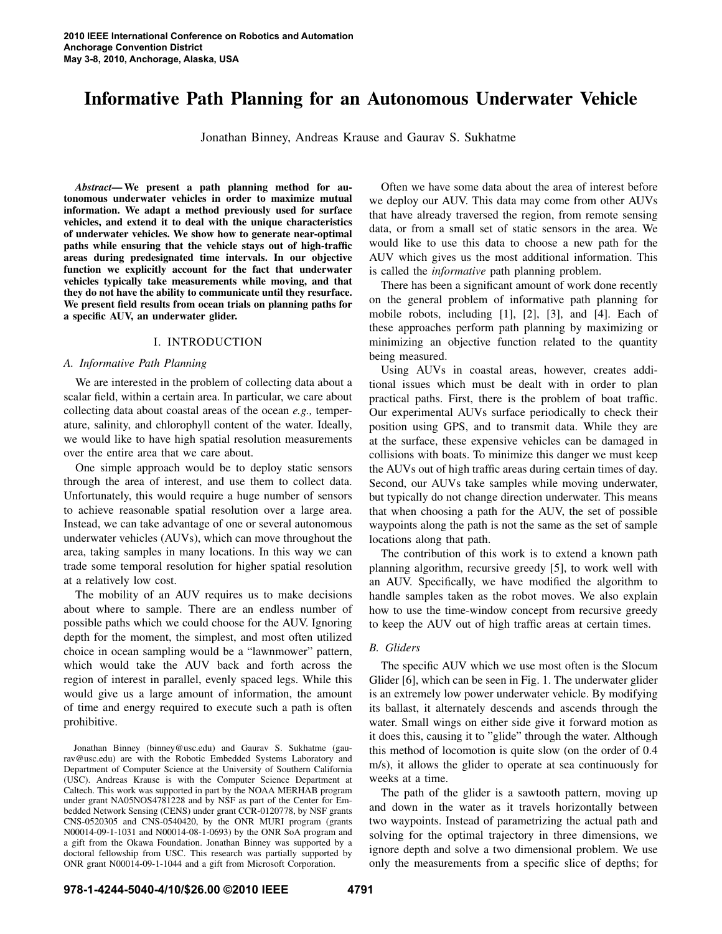# Informative Path Planning for an Autonomous Underwater Vehicle

Jonathan Binney, Andreas Krause and Gaurav S. Sukhatme

*Abstract*— We present a path planning method for autonomous underwater vehicles in order to maximize mutual information. We adapt a method previously used for surface vehicles, and extend it to deal with the unique characteristics of underwater vehicles. We show how to generate near-optimal paths while ensuring that the vehicle stays out of high-traffic areas during predesignated time intervals. In our objective function we explicitly account for the fact that underwater vehicles typically take measurements while moving, and that they do not have the ability to communicate until they resurface. We present field results from ocean trials on planning paths for a specific AUV, an underwater glider.

#### I. INTRODUCTION

#### *A. Informative Path Planning*

We are interested in the problem of collecting data about a scalar field, within a certain area. In particular, we care about collecting data about coastal areas of the ocean *e.g.,* temperature, salinity, and chlorophyll content of the water. Ideally, we would like to have high spatial resolution measurements over the entire area that we care about.

One simple approach would be to deploy static sensors through the area of interest, and use them to collect data. Unfortunately, this would require a huge number of sensors to achieve reasonable spatial resolution over a large area. Instead, we can take advantage of one or several autonomous underwater vehicles (AUVs), which can move throughout the area, taking samples in many locations. In this way we can trade some temporal resolution for higher spatial resolution at a relatively low cost.

The mobility of an AUV requires us to make decisions about where to sample. There are an endless number of possible paths which we could choose for the AUV. Ignoring depth for the moment, the simplest, and most often utilized choice in ocean sampling would be a "lawnmower" pattern, which would take the AUV back and forth across the region of interest in parallel, evenly spaced legs. While this would give us a large amount of information, the amount of time and energy required to execute such a path is often prohibitive.

Jonathan Binney (binney@usc.edu) and Gaurav S. Sukhatme (gaurav@usc.edu) are with the Robotic Embedded Systems Laboratory and Department of Computer Science at the University of Southern California (USC). Andreas Krause is with the Computer Science Department at Caltech. This work was supported in part by the NOAA MERHAB program under grant NA05NOS4781228 and by NSF as part of the Center for Embedded Network Sensing (CENS) under grant CCR-0120778, by NSF grants CNS-0520305 and CNS-0540420, by the ONR MURI program (grants N00014-09-1-1031 and N00014-08-1-0693) by the ONR SoA program and a gift from the Okawa Foundation. Jonathan Binney was supported by a doctoral fellowship from USC. This research was partially supported by ONR grant N00014-09-1-1044 and a gift from Microsoft Corporation.

Often we have some data about the area of interest before we deploy our AUV. This data may come from other AUVs that have already traversed the region, from remote sensing data, or from a small set of static sensors in the area. We would like to use this data to choose a new path for the AUV which gives us the most additional information. This is called the *informative* path planning problem.

There has been a significant amount of work done recently on the general problem of informative path planning for mobile robots, including [1], [2], [3], and [4]. Each of these approaches perform path planning by maximizing or minimizing an objective function related to the quantity being measured.

Using AUVs in coastal areas, however, creates additional issues which must be dealt with in order to plan practical paths. First, there is the problem of boat traffic. Our experimental AUVs surface periodically to check their position using GPS, and to transmit data. While they are at the surface, these expensive vehicles can be damaged in collisions with boats. To minimize this danger we must keep the AUVs out of high traffic areas during certain times of day. Second, our AUVs take samples while moving underwater, but typically do not change direction underwater. This means that when choosing a path for the AUV, the set of possible waypoints along the path is not the same as the set of sample locations along that path.

The contribution of this work is to extend a known path planning algorithm, recursive greedy [5], to work well with an AUV. Specifically, we have modified the algorithm to handle samples taken as the robot moves. We also explain how to use the time-window concept from recursive greedy to keep the AUV out of high traffic areas at certain times.

#### *B. Gliders*

The specific AUV which we use most often is the Slocum Glider [6], which can be seen in Fig. 1. The underwater glider is an extremely low power underwater vehicle. By modifying its ballast, it alternately descends and ascends through the water. Small wings on either side give it forward motion as it does this, causing it to "glide" through the water. Although this method of locomotion is quite slow (on the order of 0.4 m/s), it allows the glider to operate at sea continuously for weeks at a time.

The path of the glider is a sawtooth pattern, moving up and down in the water as it travels horizontally between two waypoints. Instead of parametrizing the actual path and solving for the optimal trajectory in three dimensions, we ignore depth and solve a two dimensional problem. We use only the measurements from a specific slice of depths; for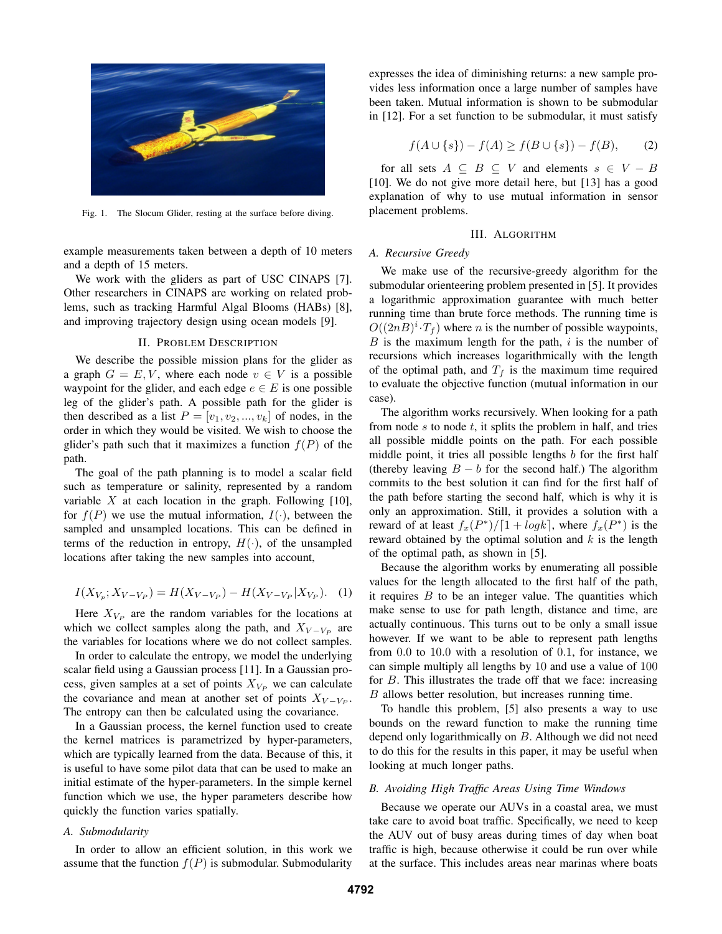

Fig. 1. The Slocum Glider, resting at the surface before diving.

example measurements taken between a depth of 10 meters and a depth of 15 meters.

We work with the gliders as part of USC CINAPS [7]. Other researchers in CINAPS are working on related problems, such as tracking Harmful Algal Blooms (HABs) [8], and improving trajectory design using ocean models [9].

#### II. PROBLEM DESCRIPTION

We describe the possible mission plans for the glider as a graph  $G = E, V$ , where each node  $v \in V$  is a possible waypoint for the glider, and each edge  $e \in E$  is one possible leg of the glider's path. A possible path for the glider is then described as a list  $P = [v_1, v_2, ..., v_k]$  of nodes, in the order in which they would be visited. We wish to choose the glider's path such that it maximizes a function  $f(P)$  of the path.

The goal of the path planning is to model a scalar field such as temperature or salinity, represented by a random variable  $X$  at each location in the graph. Following [10], for  $f(P)$  we use the mutual information,  $I(\cdot)$ , between the sampled and unsampled locations. This can be defined in terms of the reduction in entropy,  $H(\cdot)$ , of the unsampled locations after taking the new samples into account,

$$
I(X_{V_p}; X_{V-V_P}) = H(X_{V-V_P}) - H(X_{V-V_P}|X_{V_P}). \tag{1}
$$

Here  $X_{V_P}$  are the random variables for the locations at which we collect samples along the path, and  $X_{V-V_P}$  are the variables for locations where we do not collect samples.

In order to calculate the entropy, we model the underlying scalar field using a Gaussian process [11]. In a Gaussian process, given samples at a set of points  $X_{V_P}$  we can calculate the covariance and mean at another set of points  $X_{V-V_P}$ . The entropy can then be calculated using the covariance.

In a Gaussian process, the kernel function used to create the kernel matrices is parametrized by hyper-parameters, which are typically learned from the data. Because of this, it is useful to have some pilot data that can be used to make an initial estimate of the hyper-parameters. In the simple kernel function which we use, the hyper parameters describe how quickly the function varies spatially.

# *A. Submodularity*

In order to allow an efficient solution, in this work we assume that the function  $f(P)$  is submodular. Submodularity expresses the idea of diminishing returns: a new sample provides less information once a large number of samples have been taken. Mutual information is shown to be submodular in [12]. For a set function to be submodular, it must satisfy

$$
f(A \cup \{s\}) - f(A) \ge f(B \cup \{s\}) - f(B), \tag{2}
$$

for all sets  $A \subseteq B \subseteq V$  and elements  $s \in V - B$ [10]. We do not give more detail here, but [13] has a good explanation of why to use mutual information in sensor placement problems.

# III. ALGORITHM

### *A. Recursive Greedy*

We make use of the recursive-greedy algorithm for the submodular orienteering problem presented in [5]. It provides a logarithmic approximation guarantee with much better running time than brute force methods. The running time is  $O((2nB)^{i} \cdot T_f)$  where *n* is the number of possible waypoints,  $B$  is the maximum length for the path,  $i$  is the number of recursions which increases logarithmically with the length of the optimal path, and  $T_f$  is the maximum time required to evaluate the objective function (mutual information in our case).

The algorithm works recursively. When looking for a path from node  $s$  to node  $t$ , it splits the problem in half, and tries all possible middle points on the path. For each possible middle point, it tries all possible lengths  $b$  for the first half (thereby leaving  $B - b$  for the second half.) The algorithm commits to the best solution it can find for the first half of the path before starting the second half, which is why it is only an approximation. Still, it provides a solution with a reward of at least  $f_x(P^*)/[1 + log k]$ , where  $f_x(P^*)$  is the reward obtained by the optimal solution and  $k$  is the length of the optimal path, as shown in [5].

Because the algorithm works by enumerating all possible values for the length allocated to the first half of the path, it requires  $B$  to be an integer value. The quantities which make sense to use for path length, distance and time, are actually continuous. This turns out to be only a small issue however. If we want to be able to represent path lengths from 0.0 to 10.0 with a resolution of 0.1, for instance, we can simple multiply all lengths by 10 and use a value of 100 for  $B$ . This illustrates the trade off that we face: increasing B allows better resolution, but increases running time.

To handle this problem, [5] also presents a way to use bounds on the reward function to make the running time depend only logarithmically on B. Although we did not need to do this for the results in this paper, it may be useful when looking at much longer paths.

#### *B. Avoiding High Traffic Areas Using Time Windows*

Because we operate our AUVs in a coastal area, we must take care to avoid boat traffic. Specifically, we need to keep the AUV out of busy areas during times of day when boat traffic is high, because otherwise it could be run over while at the surface. This includes areas near marinas where boats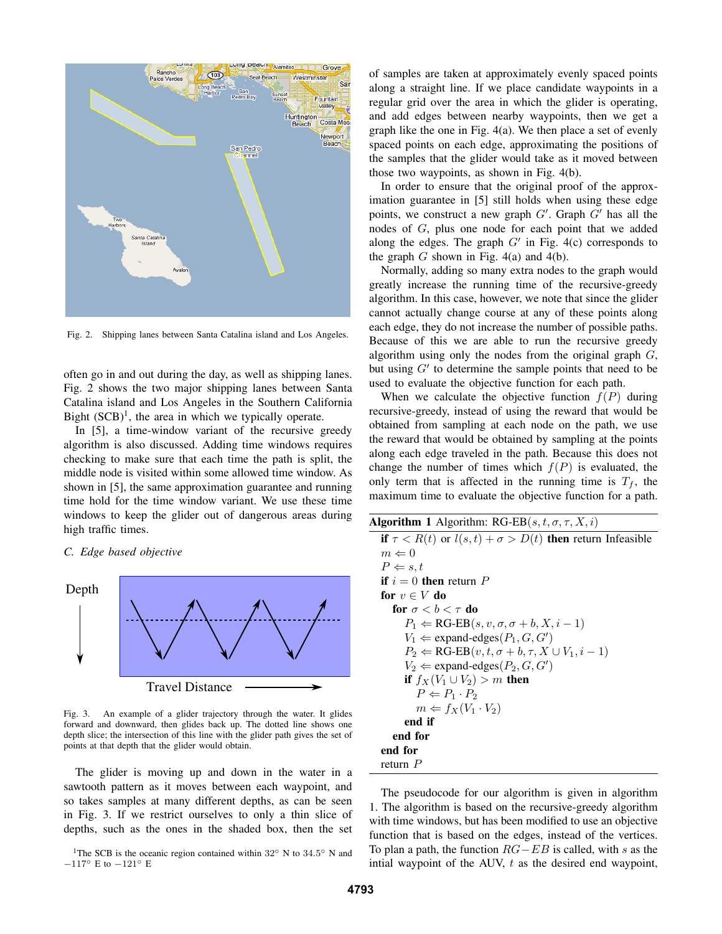

Fig. 2. Shipping lanes between Santa Catalina island and Los Angeles.

often go in and out during the day, as well as shipping lanes. Fig. 2 shows the two major shipping lanes between Santa Catalina island and Los Angeles in the Southern California Bight  $(SCB)^1$ , the area in which we typically operate.

In [5], a time-window variant of the recursive greedy algorithm is also discussed. Adding time windows requires checking to make sure that each time the path is split, the middle node is visited within some allowed time window. As shown in [5], the same approximation guarantee and running time hold for the time window variant. We use these time windows to keep the glider out of dangerous areas during high traffic times.

# *C. Edge based objective*



Fig. 3. An example of a glider trajectory through the water. It glides forward and downward, then glides back up. The dotted line shows one depth slice; the intersection of this line with the glider path gives the set of points at that depth that the glider would obtain.

The glider is moving up and down in the water in a sawtooth pattern as it moves between each waypoint, and so takes samples at many different depths, as can be seen in Fig. 3. If we restrict ourselves to only a thin slice of depths, such as the ones in the shaded box, then the set

<sup>1</sup>The SCB is the oceanic region contained within 32° N to 34.5° N and −117◦ E to −121◦ E

of samples are taken at approximately evenly spaced points along a straight line. If we place candidate waypoints in a regular grid over the area in which the glider is operating, and add edges between nearby waypoints, then we get a graph like the one in Fig. 4(a). We then place a set of evenly spaced points on each edge, approximating the positions of the samples that the glider would take as it moved between those two waypoints, as shown in Fig. 4(b).

In order to ensure that the original proof of the approximation guarantee in [5] still holds when using these edge points, we construct a new graph  $G'$ . Graph  $G'$  has all the nodes of G, plus one node for each point that we added along the edges. The graph  $G'$  in Fig. 4(c) corresponds to the graph  $G$  shown in Fig. 4(a) and 4(b).

Normally, adding so many extra nodes to the graph would greatly increase the running time of the recursive-greedy algorithm. In this case, however, we note that since the glider cannot actually change course at any of these points along each edge, they do not increase the number of possible paths. Because of this we are able to run the recursive greedy algorithm using only the nodes from the original graph  $G$ , but using  $G'$  to determine the sample points that need to be used to evaluate the objective function for each path.

When we calculate the objective function  $f(P)$  during recursive-greedy, instead of using the reward that would be obtained from sampling at each node on the path, we use the reward that would be obtained by sampling at the points along each edge traveled in the path. Because this does not change the number of times which  $f(P)$  is evaluated, the only term that is affected in the running time is  $T_f$ , the maximum time to evaluate the objective function for a path.

| <b>Algorithm 1</b> Algorithm: RG-EB $(s, t, \sigma, \tau, X, i)$         |
|--------------------------------------------------------------------------|
| if $\tau < R(t)$ or $l(s,t) + \sigma > D(t)$ then return Infeasible      |
| $m \Leftarrow 0$                                                         |
| $P \Leftarrow s, t$                                                      |
| <b>if</b> $i = 0$ then return P                                          |
| for $v \in V$ do                                                         |
| for $\sigma < b < \tau$ do                                               |
| $P_1 \leftarrow \text{RG-EB}(s, v, \sigma, \sigma+b, X, i-1)$            |
| $V_1 \leftarrow$ expand-edges $(P_1, G, G')$                             |
| $P_2 \leftarrow \text{RG-EB}(v, t, \sigma + b, \tau, X \cup V_1, i - 1)$ |
| $V_2 \leftarrow$ expand-edges $(P_2, G, G')$                             |
| if $f_X(V_1 \cup V_2) > m$ then                                          |
| $P \Leftarrow P_1 \cdot P_2$                                             |
| $m \Leftarrow f_X(V_1 \cdot V_2)$                                        |
| end if                                                                   |
| end for                                                                  |
| end for                                                                  |
| return $P$                                                               |

The pseudocode for our algorithm is given in algorithm 1. The algorithm is based on the recursive-greedy algorithm with time windows, but has been modified to use an objective function that is based on the edges, instead of the vertices. To plan a path, the function  $RG - EB$  is called, with s as the intial waypoint of the AUV,  $t$  as the desired end waypoint,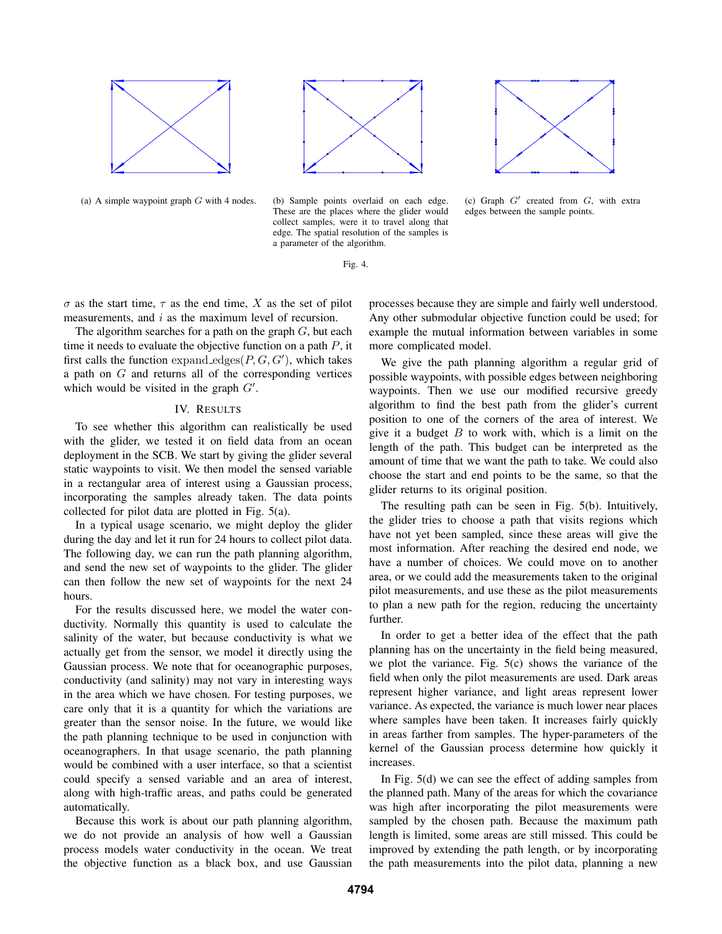







(a) A simple waypoint graph  $G$  with 4 nodes. (b) Sample points overlaid on each edge. These are the places where the glider would collect samples, were it to travel along that edge. The spatial resolution of the samples is a parameter of the algorithm.

Fig. 4.

 $\sigma$  as the start time,  $\tau$  as the end time, X as the set of pilot measurements, and i as the maximum level of recursion.

The algorithm searches for a path on the graph  $G$ , but each time it needs to evaluate the objective function on a path  $P$ , it first calls the function expand\_edges $(P, G, G')$ , which takes a path on  $G$  and returns all of the corresponding vertices which would be visited in the graph  $G'$ .

# IV. RESULTS

To see whether this algorithm can realistically be used with the glider, we tested it on field data from an ocean deployment in the SCB. We start by giving the glider several static waypoints to visit. We then model the sensed variable in a rectangular area of interest using a Gaussian process, incorporating the samples already taken. The data points collected for pilot data are plotted in Fig. 5(a).

In a typical usage scenario, we might deploy the glider during the day and let it run for 24 hours to collect pilot data. The following day, we can run the path planning algorithm, and send the new set of waypoints to the glider. The glider can then follow the new set of waypoints for the next 24 hours.

For the results discussed here, we model the water conductivity. Normally this quantity is used to calculate the salinity of the water, but because conductivity is what we actually get from the sensor, we model it directly using the Gaussian process. We note that for oceanographic purposes, conductivity (and salinity) may not vary in interesting ways in the area which we have chosen. For testing purposes, we care only that it is a quantity for which the variations are greater than the sensor noise. In the future, we would like the path planning technique to be used in conjunction with oceanographers. In that usage scenario, the path planning would be combined with a user interface, so that a scientist could specify a sensed variable and an area of interest, along with high-traffic areas, and paths could be generated automatically.

Because this work is about our path planning algorithm, we do not provide an analysis of how well a Gaussian process models water conductivity in the ocean. We treat the objective function as a black box, and use Gaussian

processes because they are simple and fairly well understood. Any other submodular objective function could be used; for example the mutual information between variables in some more complicated model.

We give the path planning algorithm a regular grid of possible waypoints, with possible edges between neighboring waypoints. Then we use our modified recursive greedy algorithm to find the best path from the glider's current position to one of the corners of the area of interest. We give it a budget  $B$  to work with, which is a limit on the length of the path. This budget can be interpreted as the amount of time that we want the path to take. We could also choose the start and end points to be the same, so that the glider returns to its original position.

The resulting path can be seen in Fig. 5(b). Intuitively, the glider tries to choose a path that visits regions which have not yet been sampled, since these areas will give the most information. After reaching the desired end node, we have a number of choices. We could move on to another area, or we could add the measurements taken to the original pilot measurements, and use these as the pilot measurements to plan a new path for the region, reducing the uncertainty further.

In order to get a better idea of the effect that the path planning has on the uncertainty in the field being measured, we plot the variance. Fig. 5(c) shows the variance of the field when only the pilot measurements are used. Dark areas represent higher variance, and light areas represent lower variance. As expected, the variance is much lower near places where samples have been taken. It increases fairly quickly in areas farther from samples. The hyper-parameters of the kernel of the Gaussian process determine how quickly it increases.

In Fig. 5(d) we can see the effect of adding samples from the planned path. Many of the areas for which the covariance was high after incorporating the pilot measurements were sampled by the chosen path. Because the maximum path length is limited, some areas are still missed. This could be improved by extending the path length, or by incorporating the path measurements into the pilot data, planning a new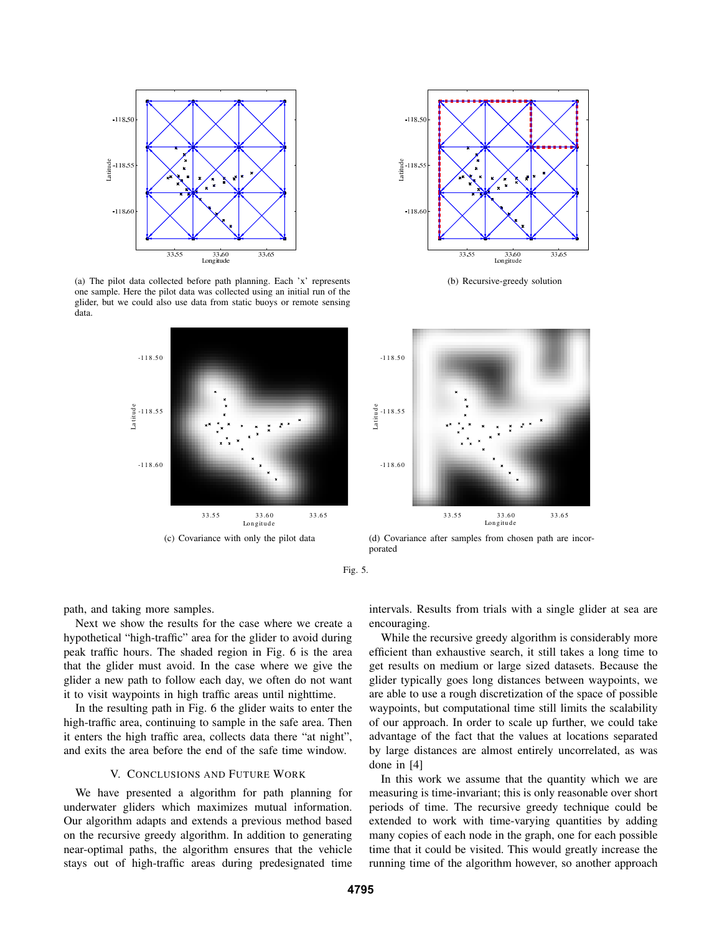

(a) The pilot data collected before path planning. Each 'x' represents one sample. Here the pilot data was collected using an initial run of the glider, but we could also use data from static buoys or remote sensing data.





(b) Recursive-greedy solution



(d) Covariance after samples from chosen path are incorporated

Fig. 5.

path, and taking more samples.

Next we show the results for the case where we create a hypothetical "high-traffic" area for the glider to avoid during peak traffic hours. The shaded region in Fig. 6 is the area that the glider must avoid. In the case where we give the glider a new path to follow each day, we often do not want it to visit waypoints in high traffic areas until nighttime.

In the resulting path in Fig. 6 the glider waits to enter the high-traffic area, continuing to sample in the safe area. Then it enters the high traffic area, collects data there "at night", and exits the area before the end of the safe time window.

#### V. CONCLUSIONS AND FUTURE WORK

We have presented a algorithm for path planning for underwater gliders which maximizes mutual information. Our algorithm adapts and extends a previous method based on the recursive greedy algorithm. In addition to generating near-optimal paths, the algorithm ensures that the vehicle stays out of high-traffic areas during predesignated time

intervals. Results from trials with a single glider at sea are encouraging.

While the recursive greedy algorithm is considerably more efficient than exhaustive search, it still takes a long time to get results on medium or large sized datasets. Because the glider typically goes long distances between waypoints, we are able to use a rough discretization of the space of possible waypoints, but computational time still limits the scalability of our approach. In order to scale up further, we could take advantage of the fact that the values at locations separated by large distances are almost entirely uncorrelated, as was done in [4]

In this work we assume that the quantity which we are measuring is time-invariant; this is only reasonable over short periods of time. The recursive greedy technique could be extended to work with time-varying quantities by adding many copies of each node in the graph, one for each possible time that it could be visited. This would greatly increase the running time of the algorithm however, so another approach